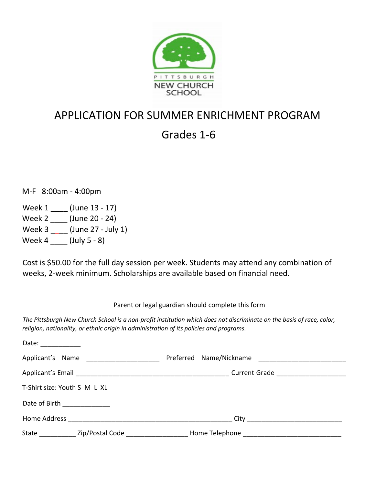

## APPLICATION FOR SUMMER ENRICHMENT PROGRAM

## Grades 1-6

M-F 8:00am - 4:00pm

Week 1 \_\_\_\_ (June 13 - 17) Week 2 \_\_\_\_ (June 20 - 24) Week 3 \_\_\_\_ (June 27 - July 1) Week 4 \_\_\_\_ (July 5 - 8)

Cost is \$50.00 for the full day session per week. Students may attend any combination of weeks, 2-week minimum. Scholarships are available based on financial need.

Parent or legal guardian should complete this form

*The Pittsburgh New Church School is a non-profit institution which does not discriminate on the basis of race, color, religion, nationality, or ethnic origin in administration of its policies and programs.* 

| Date: $\frac{1}{\sqrt{1-\frac{1}{2}}\cdot\frac{1}{\sqrt{1-\frac{1}{2}}\cdot\frac{1}{2}}\cdot\frac{1}{\sqrt{1-\frac{1}{2}}\cdot\frac{1}{2}}$ |                              |                                                                |  |
|---------------------------------------------------------------------------------------------------------------------------------------------|------------------------------|----------------------------------------------------------------|--|
|                                                                                                                                             |                              |                                                                |  |
|                                                                                                                                             |                              | Current Grade ______________________                           |  |
|                                                                                                                                             | T-Shirt size: Youth S M L XL |                                                                |  |
|                                                                                                                                             | Date of Birth ___________    |                                                                |  |
|                                                                                                                                             |                              |                                                                |  |
|                                                                                                                                             | State Zip/Postal Code        | Home Telephone<br><u> 2001 - Jan Barat, professor eta arte</u> |  |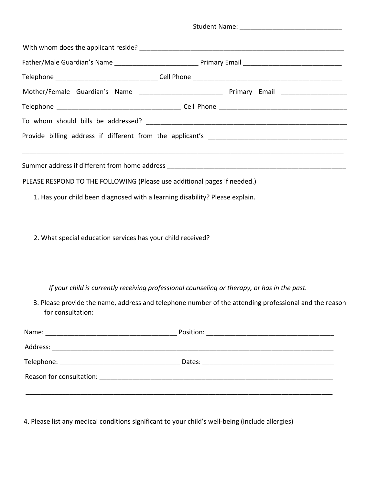| PLEASE RESPOND TO THE FOLLOWING (Please use additional pages if needed.)     |                                                                                                                                                                                                       |  |  |
|------------------------------------------------------------------------------|-------------------------------------------------------------------------------------------------------------------------------------------------------------------------------------------------------|--|--|
| 1. Has your child been diagnosed with a learning disability? Please explain. |                                                                                                                                                                                                       |  |  |
| 2. What special education services has your child received?                  |                                                                                                                                                                                                       |  |  |
| for consultation:                                                            | If your child is currently receiving professional counseling or therapy, or has in the past.<br>3. Please provide the name, address and telephone number of the attending professional and the reason |  |  |
|                                                                              |                                                                                                                                                                                                       |  |  |
|                                                                              |                                                                                                                                                                                                       |  |  |
|                                                                              |                                                                                                                                                                                                       |  |  |
|                                                                              |                                                                                                                                                                                                       |  |  |
|                                                                              |                                                                                                                                                                                                       |  |  |
|                                                                              | <u> 1989 - Johann Barn, mars et al. (f. 1989).</u>                                                                                                                                                    |  |  |

4. Please list any medical conditions significant to your child's well-being (include allergies)